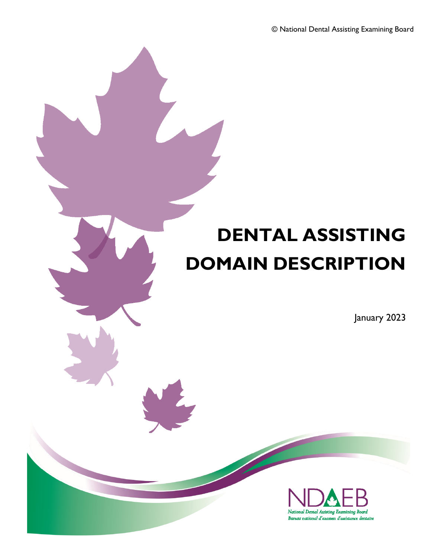# **DENTAL ASSISTING DOMAIN DESCRIPTION**

January 2023

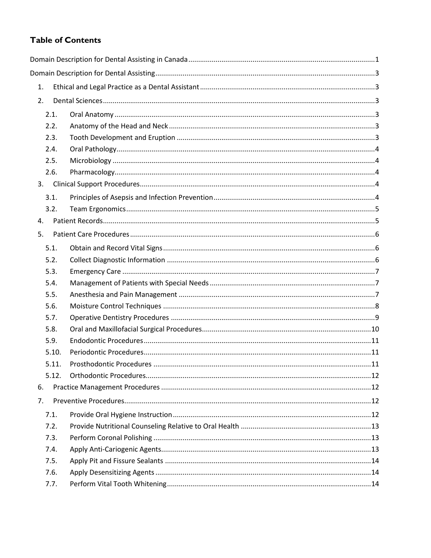## **Table of Contents**

| 1.    |  |  |
|-------|--|--|
| 2.    |  |  |
| 2.1.  |  |  |
| 2.2.  |  |  |
| 2.3.  |  |  |
| 2.4.  |  |  |
| 2.5.  |  |  |
| 2.6.  |  |  |
| 3.    |  |  |
| 3.1.  |  |  |
| 3.2.  |  |  |
| 4.    |  |  |
| 5.    |  |  |
| 5.1.  |  |  |
| 5.2.  |  |  |
| 5.3.  |  |  |
| 5.4.  |  |  |
| 5.5.  |  |  |
| 5.6.  |  |  |
| 5.7.  |  |  |
| 5.8.  |  |  |
| 5.9.  |  |  |
| 5.10. |  |  |
| 5.11. |  |  |
| 5.12. |  |  |
| 6.    |  |  |
| 7.    |  |  |
| 7.1.  |  |  |
| 7.2.  |  |  |
| 7.3.  |  |  |
| 7.4.  |  |  |
| 7.5.  |  |  |
| 7.6.  |  |  |
| 7.7.  |  |  |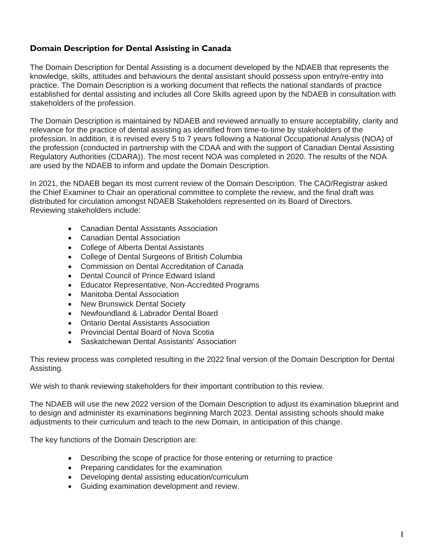## <span id="page-2-0"></span>**Domain Description for Dental Assisting in Canada**

The Domain Description for Dental Assisting is a document developed by the NDAEB that represents the knowledge, skills, attitudes and behaviours the dental assistant should possess upon entry/re-entry into practice. The Domain Description is a working document that reflects the national standards of practice established for dental assisting and includes all Core Skills agreed upon by the NDAEB in consultation with stakeholders of the profession.

The Domain Description is maintained by NDAEB and reviewed annually to ensure acceptability, clarity and relevance for the practice of dental assisting as identified from time-to-time by stakeholders of the profession. In addition, it is revised every 5 to 7 years following a National Occupational Analysis (NOA) of the profession (conducted in partnership with the CDAA and with the support of Canadian Dental Assisting Regulatory Authorities (CDARA)). The most recent NOA was completed in 2020. The results of the NOA are used by the NDAEB to inform and update the Domain Description.

In 2021, the NDAEB began its most current review of the Domain Description. The CAO/Registrar asked the Chief Examiner to Chair an operational committee to complete the review, and the final draft was distributed for circulation amongst NDAEB Stakeholders represented on its Board of Directors. Reviewing stakeholders include:

- Canadian Dental Assistants Association
- Canadian Dental Association
- College of Alberta Dental Assistants
- College of Dental Surgeons of British Columbia
- Commission on Dental Accreditation of Canada
- Dental Council of Prince Edward Island
- Educator Representative, Non-Accredited Programs
- Manitoba Dental Association
- New Brunswick Dental Society
- Newfoundland & Labrador Dental Board
- Ontario Dental Assistants Association
- Provincial Dental Board of Nova Scotia
- Saskatchewan Dental Assistants' Association

This review process was completed resulting in the 2022 final version of the Domain Description for Dental Assisting.

We wish to thank reviewing stakeholders for their important contribution to this review.

The NDAEB will use the new 2022 version of the Domain Description to adjust its examination blueprint and to design and administer its examinations beginning March 2023. Dental assisting schools should make adjustments to their curriculum and teach to the new Domain, in anticipation of this change.

The key functions of the Domain Description are:

- Describing the scope of practice for those entering or returning to practice
- Preparing candidates for the examination
- Developing dental assisting education/curriculum
- Guiding examination development and review.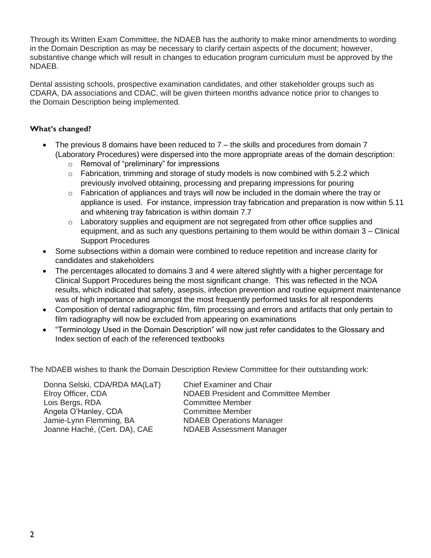Through its Written Exam Committee, the NDAEB has the authority to make minor amendments to wording in the Domain Description as may be necessary to clarify certain aspects of the document; however, substantive change which will result in changes to education program curriculum must be approved by the NDAEB.

Dental assisting schools, prospective examination candidates, and other stakeholder groups such as CDARA, DA associations and CDAC, will be given thirteen months advance notice prior to changes to the Domain Description being implemented.

## **What's changed?**

- The previous 8 domains have been reduced to 7 the skills and procedures from domain 7 (Laboratory Procedures) were dispersed into the more appropriate areas of the domain description:
	- o Removal of "preliminary" for impressions
	- $\circ$  Fabrication, trimming and storage of study models is now combined with 5.2.2 which previously involved obtaining, processing and preparing impressions for pouring
	- $\circ$  Fabrication of appliances and trays will now be included in the domain where the tray or appliance is used. For instance, impression tray fabrication and preparation is now within 5.11 and whitening tray fabrication is within domain 7.7
	- $\circ$  Laboratory supplies and equipment are not segregated from other office supplies and equipment, and as such any questions pertaining to them would be within domain 3 – Clinical Support Procedures
- Some subsections within a domain were combined to reduce repetition and increase clarity for candidates and stakeholders
- The percentages allocated to domains 3 and 4 were altered slightly with a higher percentage for Clinical Support Procedures being the most significant change. This was reflected in the NOA results, which indicated that safety, asepsis, infection prevention and routine equipment maintenance was of high importance and amongst the most frequently performed tasks for all respondents
- Composition of dental radiographic film, film processing and errors and artifacts that only pertain to film radiography will now be excluded from appearing on examinations
- "Terminology Used in the Domain Description" will now just refer candidates to the Glossary and Index section of each of the referenced textbooks

The NDAEB wishes to thank the Domain Description Review Committee for their outstanding work:

Donna Selski, CDA/RDA MA(LaT) Chief Examiner and Chair Lois Bergs, RDA Committee Member Angela O'Hanley, CDA Committee Member Jamie-Lynn Flemming, BA NDAEB Operations Manager Joanne Haché, (Cert. DA), CAE NDAEB Assessment Manager

Elroy Officer, CDA NDAEB President and Committee Member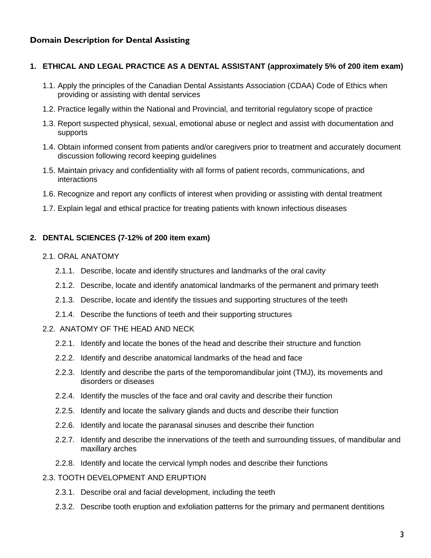## <span id="page-4-0"></span>**Domain Description for Dental Assisting**

#### <span id="page-4-1"></span>**1. ETHICAL AND LEGAL PRACTICE AS A DENTAL ASSISTANT (approximately 5% of 200 item exam)**

- 1.1. Apply the principles of the Canadian Dental Assistants Association (CDAA) Code of Ethics when providing or assisting with dental services
- 1.2. Practice legally within the National and Provincial, and territorial regulatory scope of practice
- 1.3. Report suspected physical, sexual, emotional abuse or neglect and assist with documentation and supports
- 1.4. Obtain informed consent from patients and/or caregivers prior to treatment and accurately document discussion following record keeping guidelines
- 1.5. Maintain privacy and confidentiality with all forms of patient records, communications, and interactions
- 1.6. Recognize and report any conflicts of interest when providing or assisting with dental treatment
- 1.7. Explain legal and ethical practice for treating patients with known infectious diseases

#### <span id="page-4-2"></span>**2. DENTAL SCIENCES (7-12% of 200 item exam)**

- <span id="page-4-3"></span>2.1. ORAL ANATOMY
	- 2.1.1. Describe, locate and identify structures and landmarks of the oral cavity
	- 2.1.2. Describe, locate and identify anatomical landmarks of the permanent and primary teeth
	- 2.1.3. Describe, locate and identify the tissues and supporting structures of the teeth
	- 2.1.4. Describe the functions of teeth and their supporting structures
- <span id="page-4-4"></span>2.2. ANATOMY OF THE HEAD AND NECK
	- 2.2.1. Identify and locate the bones of the head and describe their structure and function
	- 2.2.2. Identify and describe anatomical landmarks of the head and face
	- 2.2.3. Identify and describe the parts of the temporomandibular joint (TMJ), its movements and disorders or diseases
	- 2.2.4. Identify the muscles of the face and oral cavity and describe their function
	- 2.2.5. Identify and locate the salivary glands and ducts and describe their function
	- 2.2.6. Identify and locate the paranasal sinuses and describe their function
	- 2.2.7. Identify and describe the innervations of the teeth and surrounding tissues, of mandibular and maxillary arches
	- 2.2.8. Identify and locate the cervical lymph nodes and describe their functions
- <span id="page-4-5"></span>2.3. TOOTH DEVELOPMENT AND ERUPTION
	- 2.3.1. Describe oral and facial development, including the teeth
	- 2.3.2. Describe tooth eruption and exfoliation patterns for the primary and permanent dentitions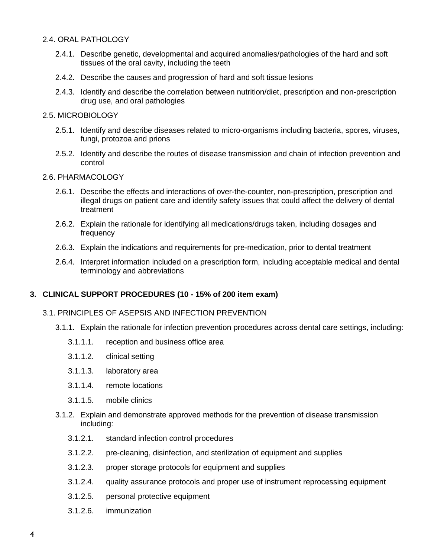#### <span id="page-5-0"></span>2.4. ORAL PATHOLOGY

- 2.4.1. Describe genetic, developmental and acquired anomalies/pathologies of the hard and soft tissues of the oral cavity, including the teeth
- 2.4.2. Describe the causes and progression of hard and soft tissue lesions
- 2.4.3. Identify and describe the correlation between nutrition/diet, prescription and non-prescription drug use, and oral pathologies

#### <span id="page-5-1"></span>2.5. MICROBIOLOGY

- 2.5.1. Identify and describe diseases related to micro-organisms including bacteria, spores, viruses, fungi, protozoa and prions
- 2.5.2. Identify and describe the routes of disease transmission and chain of infection prevention and control

#### <span id="page-5-2"></span>2.6. PHARMACOLOGY

- 2.6.1. Describe the effects and interactions of over-the-counter, non-prescription, prescription and illegal drugs on patient care and identify safety issues that could affect the delivery of dental treatment
- 2.6.2. Explain the rationale for identifying all medications/drugs taken, including dosages and frequency
- 2.6.3. Explain the indications and requirements for pre-medication, prior to dental treatment
- 2.6.4. Interpret information included on a prescription form, including acceptable medical and dental terminology and abbreviations

#### <span id="page-5-3"></span>**3. CLINICAL SUPPORT PROCEDURES (10 - 15% of 200 item exam)**

#### <span id="page-5-4"></span>3.1. PRINCIPLES OF ASEPSIS AND INFECTION PREVENTION

- 3.1.1. Explain the rationale for infection prevention procedures across dental care settings, including:
	- 3.1.1.1. reception and business office area
	- 3.1.1.2. clinical setting
	- 3.1.1.3. laboratory area
	- 3.1.1.4. remote locations
	- 3.1.1.5. mobile clinics
- 3.1.2. Explain and demonstrate approved methods for the prevention of disease transmission including:
	- 3.1.2.1. standard infection control procedures
	- 3.1.2.2. pre-cleaning, disinfection, and sterilization of equipment and supplies
	- 3.1.2.3. proper storage protocols for equipment and supplies
	- 3.1.2.4. quality assurance protocols and proper use of instrument reprocessing equipment
	- 3.1.2.5. personal protective equipment
	- 3.1.2.6. immunization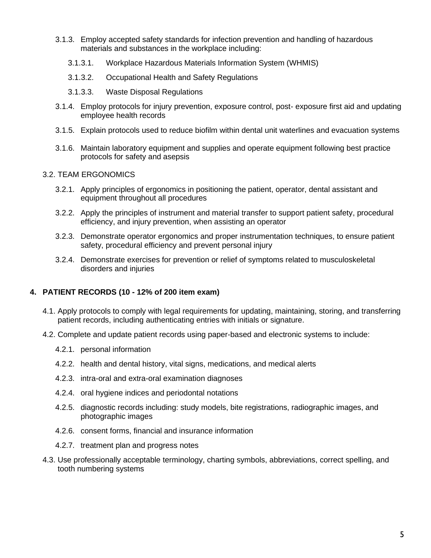- 3.1.3. Employ accepted safety standards for infection prevention and handling of hazardous materials and substances in the workplace including:
	- 3.1.3.1. Workplace Hazardous Materials Information System (WHMIS)
	- 3.1.3.2. Occupational Health and Safety Regulations
	- 3.1.3.3. Waste Disposal Regulations
- 3.1.4. Employ protocols for injury prevention, exposure control, post- exposure first aid and updating employee health records
- 3.1.5. Explain protocols used to reduce biofilm within dental unit waterlines and evacuation systems
- 3.1.6. Maintain laboratory equipment and supplies and operate equipment following best practice protocols for safety and asepsis

#### <span id="page-6-0"></span>3.2. TEAM ERGONOMICS

- 3.2.1. Apply principles of ergonomics in positioning the patient, operator, dental assistant and equipment throughout all procedures
- 3.2.2. Apply the principles of instrument and material transfer to support patient safety, procedural efficiency, and injury prevention, when assisting an operator
- 3.2.3. Demonstrate operator ergonomics and proper instrumentation techniques, to ensure patient safety, procedural efficiency and prevent personal injury
- 3.2.4. Demonstrate exercises for prevention or relief of symptoms related to musculoskeletal disorders and injuries

#### <span id="page-6-1"></span>**4. PATIENT RECORDS (10 - 12% of 200 item exam)**

- 4.1. Apply protocols to comply with legal requirements for updating, maintaining, storing, and transferring patient records, including authenticating entries with initials or signature.
- 4.2. Complete and update patient records using paper-based and electronic systems to include:
	- 4.2.1. personal information
	- 4.2.2. health and dental history, vital signs, medications, and medical alerts
	- 4.2.3. intra-oral and extra-oral examination diagnoses
	- 4.2.4. oral hygiene indices and periodontal notations
	- 4.2.5. diagnostic records including: study models, bite registrations, radiographic images, and photographic images
	- 4.2.6. consent forms, financial and insurance information
	- 4.2.7. treatment plan and progress notes
- 4.3. Use professionally acceptable terminology, charting symbols, abbreviations, correct spelling, and tooth numbering systems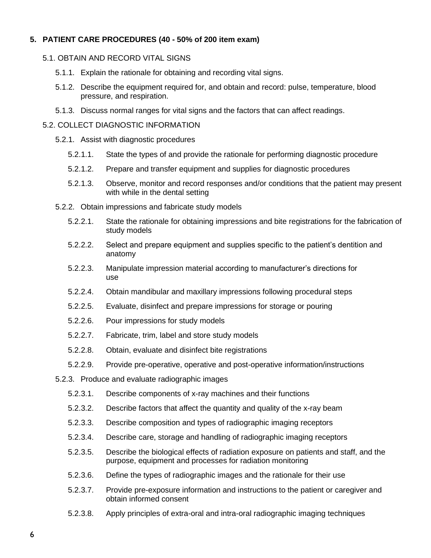## <span id="page-7-0"></span>**5. PATIENT CARE PROCEDURES (40 - 50% of 200 item exam)**

#### <span id="page-7-1"></span>5.1. OBTAIN AND RECORD VITAL SIGNS

- 5.1.1. Explain the rationale for obtaining and recording vital signs.
- 5.1.2. Describe the equipment required for, and obtain and record: pulse, temperature, blood pressure, and respiration.
- 5.1.3. Discuss normal ranges for vital signs and the factors that can affect readings.

#### <span id="page-7-2"></span>5.2. COLLECT DIAGNOSTIC INFORMATION

- 5.2.1. Assist with diagnostic procedures
	- 5.2.1.1. State the types of and provide the rationale for performing diagnostic procedure
	- 5.2.1.2. Prepare and transfer equipment and supplies for diagnostic procedures
	- 5.2.1.3. Observe, monitor and record responses and/or conditions that the patient may present with while in the dental setting
- 5.2.2. Obtain impressions and fabricate study models
	- 5.2.2.1. State the rationale for obtaining impressions and bite registrations for the fabrication of study models
	- 5.2.2.2. Select and prepare equipment and supplies specific to the patient's dentition and anatomy
	- 5.2.2.3. Manipulate impression material according to manufacturer's directions for use
	- 5.2.2.4. Obtain mandibular and maxillary impressions following procedural steps
	- 5.2.2.5. Evaluate, disinfect and prepare impressions for storage or pouring
	- 5.2.2.6. Pour impressions for study models
	- 5.2.2.7. Fabricate, trim, label and store study models
	- 5.2.2.8. Obtain, evaluate and disinfect bite registrations
	- 5.2.2.9. Provide pre-operative, operative and post-operative information/instructions
- 5.2.3. Produce and evaluate radiographic images
	- 5.2.3.1. Describe components of x-ray machines and their functions
	- 5.2.3.2. Describe factors that affect the quantity and quality of the x-ray beam
	- 5.2.3.3. Describe composition and types of radiographic imaging receptors
	- 5.2.3.4. Describe care, storage and handling of radiographic imaging receptors
	- 5.2.3.5. Describe the biological effects of radiation exposure on patients and staff, and the purpose, equipment and processes for radiation monitoring
	- 5.2.3.6. Define the types of radiographic images and the rationale for their use
	- 5.2.3.7. Provide pre-exposure information and instructions to the patient or caregiver and obtain informed consent
	- 5.2.3.8. Apply principles of extra-oral and intra-oral radiographic imaging techniques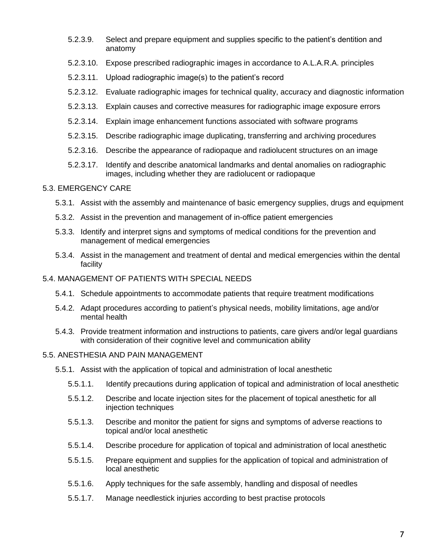- 5.2.3.9. Select and prepare equipment and supplies specific to the patient's dentition and anatomy
- 5.2.3.10. Expose prescribed radiographic images in accordance to A.L.A.R.A. principles
- 5.2.3.11. Upload radiographic image(s) to the patient's record
- 5.2.3.12. Evaluate radiographic images for technical quality, accuracy and diagnostic information
- 5.2.3.13. Explain causes and corrective measures for radiographic image exposure errors
- 5.2.3.14. Explain image enhancement functions associated with software programs
- 5.2.3.15. Describe radiographic image duplicating, transferring and archiving procedures
- 5.2.3.16. Describe the appearance of radiopaque and radiolucent structures on an image
- 5.2.3.17. Identify and describe anatomical landmarks and dental anomalies on radiographic images, including whether they are radiolucent or radiopaque

#### <span id="page-8-0"></span>5.3. EMERGENCY CARE

- 5.3.1. Assist with the assembly and maintenance of basic emergency supplies, drugs and equipment
- 5.3.2. Assist in the prevention and management of in-office patient emergencies
- 5.3.3. Identify and interpret signs and symptoms of medical conditions for the prevention and management of medical emergencies
- 5.3.4. Assist in the management and treatment of dental and medical emergencies within the dental facility

#### <span id="page-8-1"></span>5.4. MANAGEMENT OF PATIENTS WITH SPECIAL NEEDS

- 5.4.1. Schedule appointments to accommodate patients that require treatment modifications
- 5.4.2. Adapt procedures according to patient's physical needs, mobility limitations, age and/or mental health
- 5.4.3. Provide treatment information and instructions to patients, care givers and/or legal guardians with consideration of their cognitive level and communication ability

#### <span id="page-8-2"></span>5.5. ANESTHESIA AND PAIN MANAGEMENT

- 5.5.1. Assist with the application of topical and administration of local anesthetic
	- 5.5.1.1. Identify precautions during application of topical and administration of local anesthetic
	- 5.5.1.2. Describe and locate injection sites for the placement of topical anesthetic for all injection techniques
	- 5.5.1.3. Describe and monitor the patient for signs and symptoms of adverse reactions to topical and/or local anesthetic
	- 5.5.1.4. Describe procedure for application of topical and administration of local anesthetic
	- 5.5.1.5. Prepare equipment and supplies for the application of topical and administration of local anesthetic
	- 5.5.1.6. Apply techniques for the safe assembly, handling and disposal of needles
	- 5.5.1.7. Manage needlestick injuries according to best practise protocols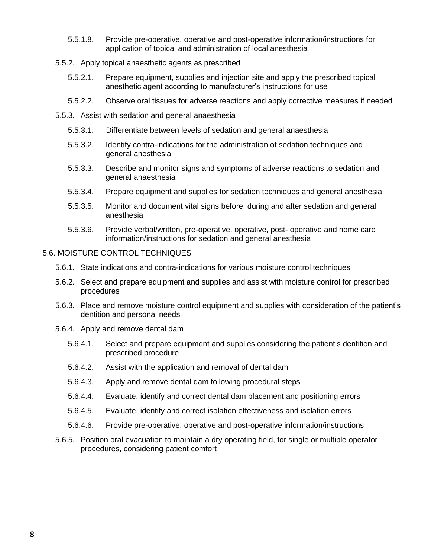- 5.5.1.8. Provide pre-operative, operative and post-operative information/instructions for application of topical and administration of local anesthesia
- 5.5.2. Apply topical anaesthetic agents as prescribed
	- 5.5.2.1. Prepare equipment, supplies and injection site and apply the prescribed topical anesthetic agent according to manufacturer's instructions for use
	- 5.5.2.2. Observe oral tissues for adverse reactions and apply corrective measures if needed
- 5.5.3. Assist with sedation and general anaesthesia
	- 5.5.3.1. Differentiate between levels of sedation and general anaesthesia
	- 5.5.3.2. Identify contra-indications for the administration of sedation techniques and general anesthesia
	- 5.5.3.3. Describe and monitor signs and symptoms of adverse reactions to sedation and general anaesthesia
	- 5.5.3.4. Prepare equipment and supplies for sedation techniques and general anesthesia
	- 5.5.3.5. Monitor and document vital signs before, during and after sedation and general anesthesia
	- 5.5.3.6. Provide verbal/written, pre-operative, operative, post- operative and home care information/instructions for sedation and general anesthesia
- <span id="page-9-0"></span>5.6. MOISTURE CONTROL TECHNIQUES
	- 5.6.1. State indications and contra-indications for various moisture control techniques
	- 5.6.2. Select and prepare equipment and supplies and assist with moisture control for prescribed procedures
	- 5.6.3. Place and remove moisture control equipment and supplies with consideration of the patient's dentition and personal needs
	- 5.6.4. Apply and remove dental dam
		- 5.6.4.1. Select and prepare equipment and supplies considering the patient's dentition and prescribed procedure
		- 5.6.4.2. Assist with the application and removal of dental dam
		- 5.6.4.3. Apply and remove dental dam following procedural steps
		- 5.6.4.4. Evaluate, identify and correct dental dam placement and positioning errors
		- 5.6.4.5. Evaluate, identify and correct isolation effectiveness and isolation errors
		- 5.6.4.6. Provide pre-operative, operative and post-operative information/instructions
	- 5.6.5. Position oral evacuation to maintain a dry operating field, for single or multiple operator procedures, considering patient comfort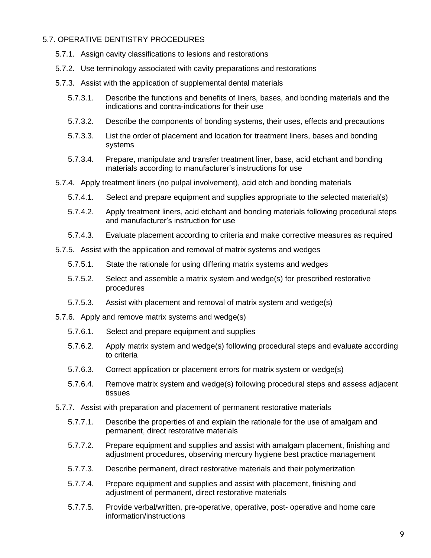#### <span id="page-10-0"></span>5.7. OPERATIVE DENTISTRY PROCEDURES

- 5.7.1. Assign cavity classifications to lesions and restorations
- 5.7.2. Use terminology associated with cavity preparations and restorations
- 5.7.3. Assist with the application of supplemental dental materials
	- 5.7.3.1. Describe the functions and benefits of liners, bases, and bonding materials and the indications and contra-indications for their use
	- 5.7.3.2. Describe the components of bonding systems, their uses, effects and precautions
	- 5.7.3.3. List the order of placement and location for treatment liners, bases and bonding systems
	- 5.7.3.4. Prepare, manipulate and transfer treatment liner, base, acid etchant and bonding materials according to manufacturer's instructions for use
- 5.7.4. Apply treatment liners (no pulpal involvement), acid etch and bonding materials
	- 5.7.4.1. Select and prepare equipment and supplies appropriate to the selected material(s)
	- 5.7.4.2. Apply treatment liners, acid etchant and bonding materials following procedural steps and manufacturer's instruction for use
	- 5.7.4.3. Evaluate placement according to criteria and make corrective measures as required
- 5.7.5. Assist with the application and removal of matrix systems and wedges
	- 5.7.5.1. State the rationale for using differing matrix systems and wedges
	- 5.7.5.2. Select and assemble a matrix system and wedge(s) for prescribed restorative procedures
	- 5.7.5.3. Assist with placement and removal of matrix system and wedge(s)
- 5.7.6. Apply and remove matrix systems and wedge(s)
	- 5.7.6.1. Select and prepare equipment and supplies
	- 5.7.6.2. Apply matrix system and wedge(s) following procedural steps and evaluate according to criteria
	- 5.7.6.3. Correct application or placement errors for matrix system or wedge(s)
	- 5.7.6.4. Remove matrix system and wedge(s) following procedural steps and assess adjacent tissues
- 5.7.7. Assist with preparation and placement of permanent restorative materials
	- 5.7.7.1. Describe the properties of and explain the rationale for the use of amalgam and permanent, direct restorative materials
	- 5.7.7.2. Prepare equipment and supplies and assist with amalgam placement, finishing and adjustment procedures, observing mercury hygiene best practice management
	- 5.7.7.3. Describe permanent, direct restorative materials and their polymerization
	- 5.7.7.4. Prepare equipment and supplies and assist with placement, finishing and adjustment of permanent, direct restorative materials
	- 5.7.7.5. Provide verbal/written, pre-operative, operative, post- operative and home care information/instructions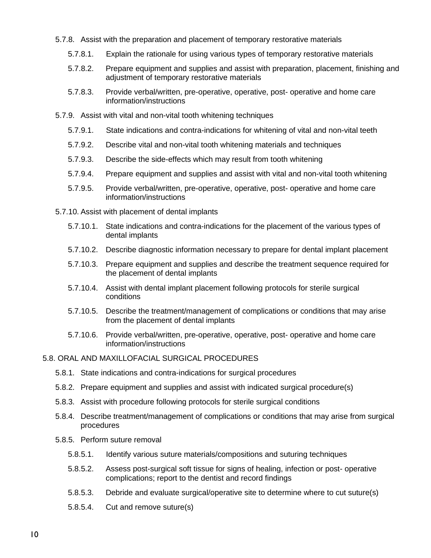- 5.7.8. Assist with the preparation and placement of temporary restorative materials
	- 5.7.8.1. Explain the rationale for using various types of temporary restorative materials
	- 5.7.8.2. Prepare equipment and supplies and assist with preparation, placement, finishing and adjustment of temporary restorative materials
	- 5.7.8.3. Provide verbal/written, pre-operative, operative, post- operative and home care information/instructions
- 5.7.9. Assist with vital and non-vital tooth whitening techniques
	- 5.7.9.1. State indications and contra-indications for whitening of vital and non-vital teeth
	- 5.7.9.2. Describe vital and non-vital tooth whitening materials and techniques
	- 5.7.9.3. Describe the side-effects which may result from tooth whitening
	- 5.7.9.4. Prepare equipment and supplies and assist with vital and non-vital tooth whitening
	- 5.7.9.5. Provide verbal/written, pre-operative, operative, post- operative and home care information/instructions
- 5.7.10. Assist with placement of dental implants
	- 5.7.10.1. State indications and contra-indications for the placement of the various types of dental implants
	- 5.7.10.2. Describe diagnostic information necessary to prepare for dental implant placement
	- 5.7.10.3. Prepare equipment and supplies and describe the treatment sequence required for the placement of dental implants
	- 5.7.10.4. Assist with dental implant placement following protocols for sterile surgical conditions
	- 5.7.10.5. Describe the treatment/management of complications or conditions that may arise from the placement of dental implants
	- 5.7.10.6. Provide verbal/written, pre-operative, operative, post- operative and home care information/instructions

#### <span id="page-11-0"></span>5.8. ORAL AND MAXILLOFACIAL SURGICAL PROCEDURES

- 5.8.1. State indications and contra-indications for surgical procedures
- 5.8.2. Prepare equipment and supplies and assist with indicated surgical procedure(s)
- 5.8.3. Assist with procedure following protocols for sterile surgical conditions
- 5.8.4. Describe treatment/management of complications or conditions that may arise from surgical procedures
- 5.8.5. Perform suture removal
	- 5.8.5.1. Identify various suture materials/compositions and suturing techniques
	- 5.8.5.2. Assess post-surgical soft tissue for signs of healing, infection or post- operative complications; report to the dentist and record findings
	- 5.8.5.3. Debride and evaluate surgical/operative site to determine where to cut suture(s)
	- 5.8.5.4. Cut and remove suture(s)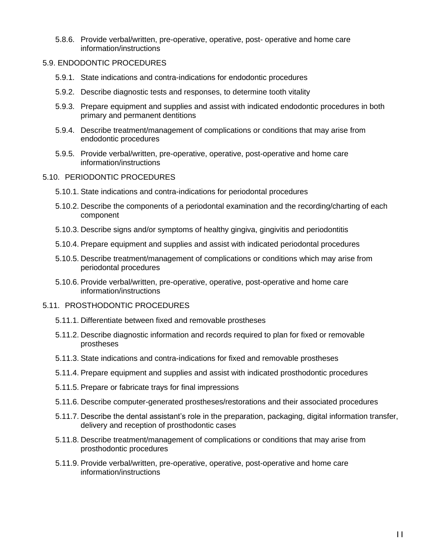5.8.6. Provide verbal/written, pre-operative, operative, post- operative and home care information/instructions

#### <span id="page-12-0"></span>5.9. ENDODONTIC PROCEDURES

- 5.9.1. State indications and contra-indications for endodontic procedures
- 5.9.2. Describe diagnostic tests and responses, to determine tooth vitality
- 5.9.3. Prepare equipment and supplies and assist with indicated endodontic procedures in both primary and permanent dentitions
- 5.9.4. Describe treatment/management of complications or conditions that may arise from endodontic procedures
- 5.9.5. Provide verbal/written, pre-operative, operative, post-operative and home care information/instructions

#### <span id="page-12-1"></span>5.10. PERIODONTIC PROCEDURES

- 5.10.1. State indications and contra-indications for periodontal procedures
- 5.10.2. Describe the components of a periodontal examination and the recording/charting of each component
- 5.10.3. Describe signs and/or symptoms of healthy gingiva, gingivitis and periodontitis
- 5.10.4. Prepare equipment and supplies and assist with indicated periodontal procedures
- 5.10.5. Describe treatment/management of complications or conditions which may arise from periodontal procedures
- 5.10.6. Provide verbal/written, pre-operative, operative, post-operative and home care information/instructions

#### <span id="page-12-2"></span>5.11. PROSTHODONTIC PROCEDURES

- 5.11.1. Differentiate between fixed and removable prostheses
- 5.11.2. Describe diagnostic information and records required to plan for fixed or removable prostheses
- 5.11.3. State indications and contra-indications for fixed and removable prostheses
- 5.11.4. Prepare equipment and supplies and assist with indicated prosthodontic procedures
- 5.11.5. Prepare or fabricate trays for final impressions
- 5.11.6. Describe computer-generated prostheses/restorations and their associated procedures
- 5.11.7. Describe the dental assistant's role in the preparation, packaging, digital information transfer, delivery and reception of prosthodontic cases
- 5.11.8. Describe treatment/management of complications or conditions that may arise from prosthodontic procedures
- 5.11.9. Provide verbal/written, pre-operative, operative, post-operative and home care information/instructions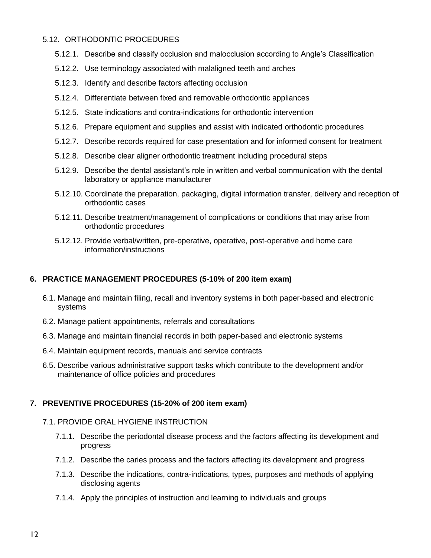#### <span id="page-13-0"></span>5.12. ORTHODONTIC PROCEDURES

- 5.12.1. Describe and classify occlusion and malocclusion according to Angle's Classification
- 5.12.2. Use terminology associated with malaligned teeth and arches
- 5.12.3. Identify and describe factors affecting occlusion
- 5.12.4. Differentiate between fixed and removable orthodontic appliances
- 5.12.5. State indications and contra-indications for orthodontic intervention
- 5.12.6. Prepare equipment and supplies and assist with indicated orthodontic procedures
- 5.12.7. Describe records required for case presentation and for informed consent for treatment
- 5.12.8. Describe clear aligner orthodontic treatment including procedural steps
- 5.12.9. Describe the dental assistant's role in written and verbal communication with the dental laboratory or appliance manufacturer
- 5.12.10. Coordinate the preparation, packaging, digital information transfer, delivery and reception of orthodontic cases
- 5.12.11. Describe treatment/management of complications or conditions that may arise from orthodontic procedures
- 5.12.12. Provide verbal/written, pre-operative, operative, post-operative and home care information/instructions

## <span id="page-13-1"></span>**6. PRACTICE MANAGEMENT PROCEDURES (5-10% of 200 item exam)**

- 6.1. Manage and maintain filing, recall and inventory systems in both paper-based and electronic systems
- 6.2. Manage patient appointments, referrals and consultations
- 6.3. Manage and maintain financial records in both paper-based and electronic systems
- 6.4. Maintain equipment records, manuals and service contracts
- 6.5. Describe various administrative support tasks which contribute to the development and/or maintenance of office policies and procedures

## <span id="page-13-2"></span>**7. PREVENTIVE PROCEDURES (15-20% of 200 item exam)**

#### <span id="page-13-3"></span>7.1. PROVIDE ORAL HYGIENE INSTRUCTION

- 7.1.1. Describe the periodontal disease process and the factors affecting its development and progress
- 7.1.2. Describe the caries process and the factors affecting its development and progress
- 7.1.3. Describe the indications, contra-indications, types, purposes and methods of applying disclosing agents
- 7.1.4. Apply the principles of instruction and learning to individuals and groups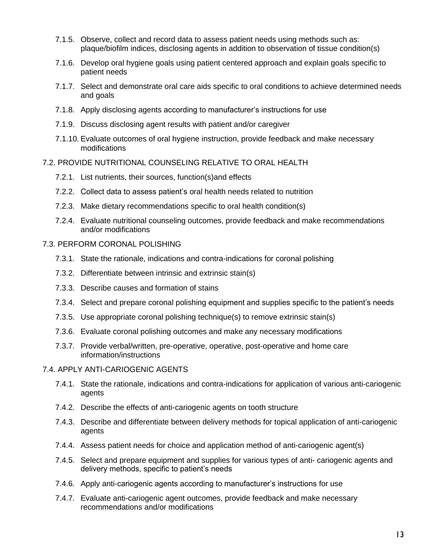- 7.1.5. Observe, collect and record data to assess patient needs using methods such as: plaque/biofilm indices, disclosing agents in addition to observation of tissue condition(s)
- 7.1.6. Develop oral hygiene goals using patient centered approach and explain goals specific to patient needs
- 7.1.7. Select and demonstrate oral care aids specific to oral conditions to achieve determined needs and goals
- 7.1.8. Apply disclosing agents according to manufacturer's instructions for use
- 7.1.9. Discuss disclosing agent results with patient and/or caregiver
- 7.1.10. Evaluate outcomes of oral hygiene instruction, provide feedback and make necessary modifications

#### <span id="page-14-0"></span>7.2. PROVIDE NUTRITIONAL COUNSELING RELATIVE TO ORAL HEALTH

- 7.2.1. List nutrients, their sources, function(s)and effects
- 7.2.2. Collect data to assess patient's oral health needs related to nutrition
- 7.2.3. Make dietary recommendations specific to oral health condition(s)
- 7.2.4. Evaluate nutritional counseling outcomes, provide feedback and make recommendations and/or modifications

#### <span id="page-14-1"></span>7.3. PERFORM CORONAL POLISHING

- 7.3.1. State the rationale, indications and contra-indications for coronal polishing
- 7.3.2. Differentiate between intrinsic and extrinsic stain(s)
- 7.3.3. Describe causes and formation of stains
- 7.3.4. Select and prepare coronal polishing equipment and supplies specific to the patient's needs
- 7.3.5. Use appropriate coronal polishing technique(s) to remove extrinsic stain(s)
- 7.3.6. Evaluate coronal polishing outcomes and make any necessary modifications
- 7.3.7. Provide verbal/written, pre-operative, operative, post-operative and home care information/instructions
- <span id="page-14-2"></span>7.4. APPLY ANTI-CARIOGENIC AGENTS
	- 7.4.1. State the rationale, indications and contra-indications for application of various anti-cariogenic agents
	- 7.4.2. Describe the effects of anti-cariogenic agents on tooth structure
	- 7.4.3. Describe and differentiate between delivery methods for topical application of anti-cariogenic agents
	- 7.4.4. Assess patient needs for choice and application method of anti-cariogenic agent(s)
	- 7.4.5. Select and prepare equipment and supplies for various types of anti- cariogenic agents and delivery methods, specific to patient's needs
	- 7.4.6. Apply anti-cariogenic agents according to manufacturer's instructions for use
	- 7.4.7. Evaluate anti-cariogenic agent outcomes, provide feedback and make necessary recommendations and/or modifications